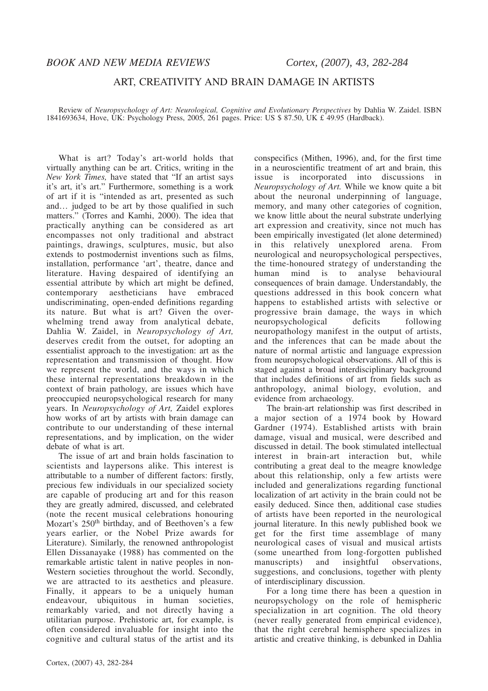## ART, CREATIVITY AND BRAIN DAMAGE IN ARTISTS

Review of *Neuropsychology of Art: Neurological, Cognitive and Evolutionary Perspectives* by Dahlia W. Zaidel. ISBN 1841693634, Hove, UK: Psychology Press, 2005, 261 pages. Price: US \$ 87.50, UK £ 49.95 (Hardback).

What is art? Today's art-world holds that virtually anything can be art. Critics, writing in the *New York Times,* have stated that "If an artist says it's art, it's art." Furthermore, something is a work of art if it is "intended as art, presented as such and… judged to be art by those qualified in such matters." (Torres and Kamhi, 2000). The idea that practically anything can be considered as art encompasses not only traditional and abstract paintings, drawings, sculptures, music, but also extends to postmodernist inventions such as films, installation, performance 'art', theatre, dance and literature. Having despaired of identifying an essential attribute by which art might be defined, contemporary aestheticians have embraced undiscriminating, open-ended definitions regarding its nature. But what is art? Given the overwhelming trend away from analytical debate, Dahlia W. Zaidel, in *Neuropsychology of Art,* deserves credit from the outset, for adopting an essentialist approach to the investigation: art as the representation and transmission of thought. How we represent the world, and the ways in which these internal representations breakdown in the context of brain pathology, are issues which have preoccupied neuropsychological research for many years. In *Neuropsychology of Art,* Zaidel explores how works of art by artists with brain damage can contribute to our understanding of these internal representations, and by implication, on the wider debate of what is art.

The issue of art and brain holds fascination to scientists and laypersons alike. This interest is attributable to a number of different factors: firstly, precious few individuals in our specialized society are capable of producing art and for this reason they are greatly admired, discussed, and celebrated (note the recent musical celebrations honouring Mozart's 250<sup>th</sup> birthday, and of Beethoven's a few years earlier, or the Nobel Prize awards for Literature). Similarly, the renowned anthropologist Ellen Dissanayake (1988) has commented on the remarkable artistic talent in native peoples in non-Western societies throughout the world. Secondly, we are attracted to its aesthetics and pleasure. Finally, it appears to be a uniquely human endeavour, ubiquitous in human societies, remarkably varied, and not directly having a utilitarian purpose. Prehistoric art, for example, is often considered invaluable for insight into the cognitive and cultural status of the artist and its

conspecifics (Mithen, 1996), and, for the first time in a neuroscientific treatment of art and brain, this issue is incorporated into discussions in *Neuropsychology of Art.* While we know quite a bit about the neuronal underpinning of language, memory, and many other categories of cognition, we know little about the neural substrate underlying art expression and creativity, since not much has been empirically investigated (let alone determined) in this relatively unexplored arena. From neurological and neuropsychological perspectives, the time-honoured strategy of understanding the human mind is to analyse behavioural consequences of brain damage. Understandably, the questions addressed in this book concern what happens to established artists with selective or progressive brain damage, the ways in which neuropsychological deficits following neuropathology manifest in the output of artists, and the inferences that can be made about the nature of normal artistic and language expression from neuropsychological observations. All of this is staged against a broad interdisciplinary background that includes definitions of art from fields such as anthropology, animal biology, evolution, and evidence from archaeology.

The brain-art relationship was first described in a major section of a 1974 book by Howard Gardner (1974). Established artists with brain damage, visual and musical, were described and discussed in detail. The book stimulated intellectual interest in brain-art interaction but, while contributing a great deal to the meagre knowledge about this relationship, only a few artists were included and generalizations regarding functional localization of art activity in the brain could not be easily deduced. Since then, additional case studies of artists have been reported in the neurological journal literature. In this newly published book we get for the first time assemblage of many neurological cases of visual and musical artists (some unearthed from long-forgotten published manuscripts) and insightful observations, suggestions, and conclusions, together with plenty of interdisciplinary discussion.

For a long time there has been a question in neuropsychology on the role of hemispheric specialization in art cognition. The old theory (never really generated from empirical evidence), that the right cerebral hemisphere specializes in artistic and creative thinking, is debunked in Dahlia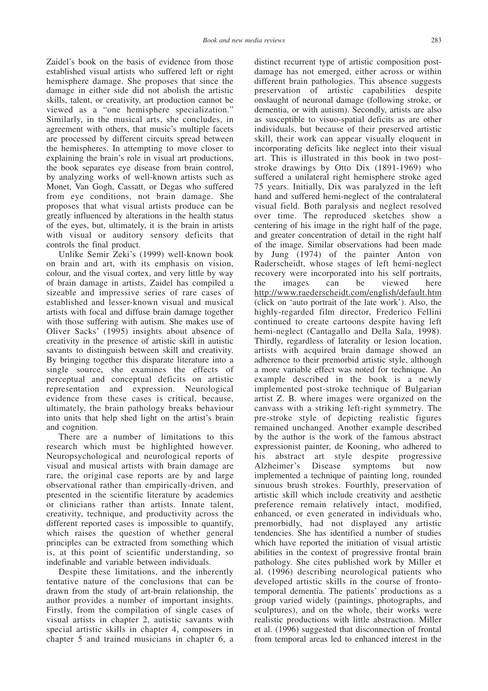Zaidel's book on the basis of evidence from those established visual artists who suffered left or right hemisphere damage. She proposes that since the damage in either side did not abolish the artistic skills, talent, or creativity, art production cannot be viewed as a "one hemisphere specialization." Similarly, in the musical arts, she concludes, in agreement with others, that music's multiple facets are processed by different circuits spread between the hemispheres. In attempting to move closer to explaining the brain's role in visual art productions, the book separates eye disease from brain control, by analyzing works of well-known artists such as Monet, Van Gogh, Cassatt, or Degas who suffered from eye conditions, not brain damage. She proposes that what visual artists produce can be greatly influenced by alterations in the health status of the eyes, but, ultimately, it is the brain in artists with visual or auditory sensory deficits that controls the final product.

Unlike Semir Zeki's (1999) well-known book on brain and art, with its emphasis on vision, colour, and the visual cortex, and very little by way of brain damage in artists, Zaidel has compiled a sizeable and impressive series of rare cases of established and lesser-known visual and musical artists with focal and diffuse brain damage together with those suffering with autism. She makes use of Oliver Sacks' (1995) insights about absence of creativity in the presence of artistic skill in autistic savants to distinguish between skill and creativity. By bringing together this disparate literature into a single source, she examines the effects of perceptual and conceptual deficits on artistic representation and expression. Neurological evidence from these cases is critical, because, ultimately, the brain pathology breaks behaviour into units that help shed light on the artist's brain and cognition.

There are a number of limitations to this research which must be highlighted however. Neuropsychological and neurological reports of visual and musical artists with brain damage are rare, the original case reports are by and large observational rather than empirically-driven, and presented in the scientific literature by academics or clinicians rather than artists. Innate talent, creativity, technique, and productivity across the different reported cases is impossible to quantify, which raises the question of whether general principles can be extracted from something which is, at this point of scientific understanding, so indefinable and variable between individuals.

Despite these limitations, and the inherently tentative nature of the conclusions that can be drawn from the study of art-brain relationship, the author provides a number of important insights. Firstly, from the compilation of single cases of visual artists in chapter 2, autistic savants with special artistic skills in chapter 4, composers in chapter 5 and trained musicians in chapter 6, a

distinct recurrent type of artistic composition postdamage has not emerged, either across or within different brain pathologies. This absence suggests preservation of artistic capabilities despite onslaught of neuronal damage (following stroke, or dementia, or with autism). Secondly, artists are also as susceptible to visuo-spatial deficits as are other individuals, but because of their preserved artistic skill, their work can appear visually eloquent in incorporating deficits like neglect into their visual art. This is illustrated in this book in two poststroke drawings by Otto Dix (1891-1969) who suffered a unilateral right hemisphere stroke aged 75 years. Initially, Dix was paralyzed in the left hand and suffered hemi-neglect of the contralateral visual field. Both paralysis and neglect resolved over time. The reproduced sketches show a centering of his image in the right half of the page, and greater concentration of detail in the right half of the image. Similar observations had been made by Jung (1974) of the painter Anton von Raderscheidt, whose stages of left hemi-neglect recovery were incorporated into his self portraits, the images can be viewed here http://www.raederscheidt.com/english/default.htm (click on 'auto portrait of the late work'). Also, the highly-regarded film director, Frederico Fellini continued to create cartoons despite having left hemi-neglect (Cantagallo and Della Sala, 1998). Thirdly, regardless of laterality or lesion location, artists with acquired brain damage showed an adherence to their premorbid artistic style, although a more variable effect was noted for technique. An example described in the book is a newly implemented post-stroke technique of Bulgarian artist Z. B. where images were organized on the canvass with a striking left-right symmetry. The pre-stroke style of depicting realistic figures remained unchanged. Another example described by the author is the work of the famous abstract expressionist painter, de Kooning, who adhered to his abstract art style despite progressive Alzheimer's Disease symptoms but now implemented a technique of painting long, rounded sinuous brush strokes. Fourthly, preservation of artistic skill which include creativity and aesthetic preference remain relatively intact, modified, enhanced, or even generated in individuals who, premorbidly, had not displayed any artistic tendencies. She has identified a number of studies which have reported the initiation of visual artistic abilities in the context of progressive frontal brain pathology. She cites published work by Miller et al. (1996) describing neurological patients who developed artistic skills in the course of frontotemporal dementia. The patients' productions as a group varied widely (paintings, photographs, and sculptures), and on the whole, their works were realistic productions with little abstraction. Miller et al. (1996) suggested that disconnection of frontal from temporal areas led to enhanced interest in the